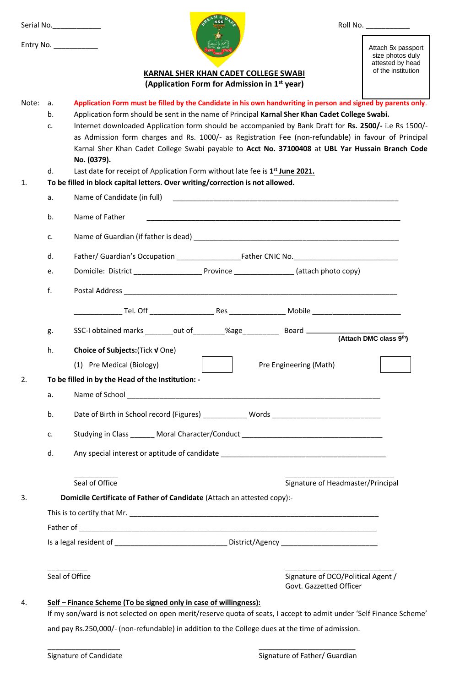|    | Serial No.______________                                                                                                                                                                                                | Roll No. ___________                                       |
|----|-------------------------------------------------------------------------------------------------------------------------------------------------------------------------------------------------------------------------|------------------------------------------------------------|
|    | Entry No.                                                                                                                                                                                                               | Attach 5x passport<br>size photos duly<br>attested by head |
|    | <b>KARNAL SHER KHAN CADET COLLEGE SWABI</b><br>(Application Form for Admission in 1 <sup>st</sup> year)                                                                                                                 | of the institution                                         |
| a. | Application Form must be filled by the Candidate in his own handwriting in person and signed by parents only.                                                                                                           |                                                            |
| b. | Application form should be sent in the name of Principal Karnal Sher Khan Cadet College Swabi.                                                                                                                          |                                                            |
| C. | Internet downloaded Application form should be accompanied by Bank Draft for Rs. 2500/- i.e Rs 1500/-                                                                                                                   |                                                            |
|    | as Admission form charges and Rs. 1000/- as Registration Fee (non-refundable) in favour of Principal<br>Karnal Sher Khan Cadet College Swabi payable to Acct No. 37100408 at UBL Yar Hussain Branch Code<br>No. (0379). |                                                            |
| d. | Last date for receipt of Application Form without late fee is 1 <sup>st</sup> June 2021.                                                                                                                                |                                                            |
|    | To be filled in block capital letters. Over writing/correction is not allowed.                                                                                                                                          |                                                            |
| a. |                                                                                                                                                                                                                         |                                                            |
| b. | Name of Father<br><u> 1989 - Johann John Stoff, deutscher Stoff als der Stoff als der Stoff als der Stoff als der Stoff als der Stoff</u>                                                                               |                                                            |
| c. |                                                                                                                                                                                                                         |                                                            |
| d. |                                                                                                                                                                                                                         |                                                            |
| e. |                                                                                                                                                                                                                         |                                                            |
| f. |                                                                                                                                                                                                                         |                                                            |
|    |                                                                                                                                                                                                                         |                                                            |
| g. | SSC-I obtained marks ________out of ________%age_____________________Board ________________________(Attach DMC class 9 <sup>th</sup> )                                                                                  |                                                            |
| h. | Choice of Subjects: (Tick V One)                                                                                                                                                                                        |                                                            |
|    | (1) Pre Medical (Biology)                                                                                                                                                                                               | Pre Engineering (Math)                                     |
|    | To be filled in by the Head of the Institution: -                                                                                                                                                                       |                                                            |
| a. |                                                                                                                                                                                                                         |                                                            |
| b. | Date of Birth in School record (Figures) ____________ Words _____________________                                                                                                                                       |                                                            |
| c. | Studying in Class _______ Moral Character/Conduct ______________________________                                                                                                                                        |                                                            |
| d. |                                                                                                                                                                                                                         |                                                            |
|    | Seal of Office                                                                                                                                                                                                          | Signature of Headmaster/Principal                          |
|    | Domicile Certificate of Father of Candidate (Attach an attested copy):-                                                                                                                                                 |                                                            |
|    |                                                                                                                                                                                                                         |                                                            |
|    |                                                                                                                                                                                                                         |                                                            |
|    | Is a legal resident of __________________________________District/Agency ___________________________                                                                                                                    |                                                            |
|    | Seal of Office                                                                                                                                                                                                          | Signature of DCO/Political Agent /                         |
|    |                                                                                                                                                                                                                         | Govt. Gazzetted Officer                                    |

and pay Rs.250,000/- (non-refundable) in addition to the College dues at the time of admission.

\_\_\_\_\_\_\_\_\_\_\_\_\_\_\_\_\_\_ \_\_\_\_\_\_\_\_\_\_\_\_\_\_\_\_\_\_\_\_\_\_\_\_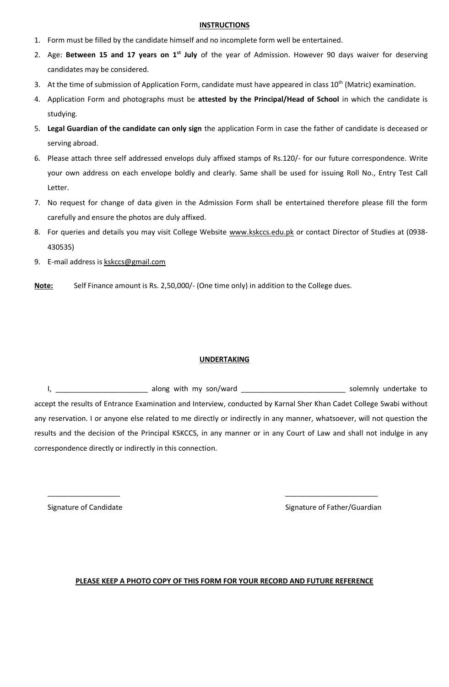## **INSTRUCTIONS**

- 1. Form must be filled by the candidate himself and no incomplete form well be entertained.
- 2. Age: **Between 15 and 17 years on 1st July** of the year of Admission. However 90 days waiver for deserving candidates may be considered.
- 3. At the time of submission of Application Form, candidate must have appeared in class 10<sup>th</sup> (Matric) examination.
- 4. Application Form and photographs must be **attested by the Principal/Head of School** in which the candidate is studying.
- 5. **Legal Guardian of the candidate can only sign** the application Form in case the father of candidate is deceased or serving abroad.
- 6. Please attach three self addressed envelops duly affixed stamps of Rs.120/- for our future correspondence. Write your own address on each envelope boldly and clearly. Same shall be used for issuing Roll No., Entry Test Call Letter.
- 7. No request for change of data given in the Admission Form shall be entertained therefore please fill the form carefully and ensure the photos are duly affixed.
- 8. For queries and details you may visit College Website [www.kskccs.edu.pk](http://www.kskccs.edu.pk/) or contact Director of Studies at (0938-430535)
- 9. E-mail address i[s kskccs@gmail.com](mailto:kskccs@gmail.com)
- **Note:** Self Finance amount is Rs. 2,50,000/- (One time only) in addition to the College dues.

## **UNDERTAKING**

I, \_\_\_\_\_\_\_\_\_\_\_\_\_\_\_\_\_\_\_\_\_\_\_ along with my son/ward \_\_\_\_\_\_\_\_\_\_\_\_\_\_\_\_\_\_\_\_\_\_\_\_\_\_ solemnly undertake to accept the results of Entrance Examination and Interview, conducted by Karnal Sher Khan Cadet College Swabi without any reservation. I or anyone else related to me directly or indirectly in any manner, whatsoever, will not question the results and the decision of the Principal KSKCCS, in any manner or in any Court of Law and shall not indulge in any correspondence directly or indirectly in this connection.

Signature of Candidate Signature of Father/Guardian

## **PLEASE KEEP A PHOTO COPY OF THIS FORM FOR YOUR RECORD AND FUTURE REFERENCE**

\_\_\_\_\_\_\_\_\_\_\_\_\_\_\_\_\_\_ \_\_\_\_\_\_\_\_\_\_\_\_\_\_\_\_\_\_\_\_\_\_\_